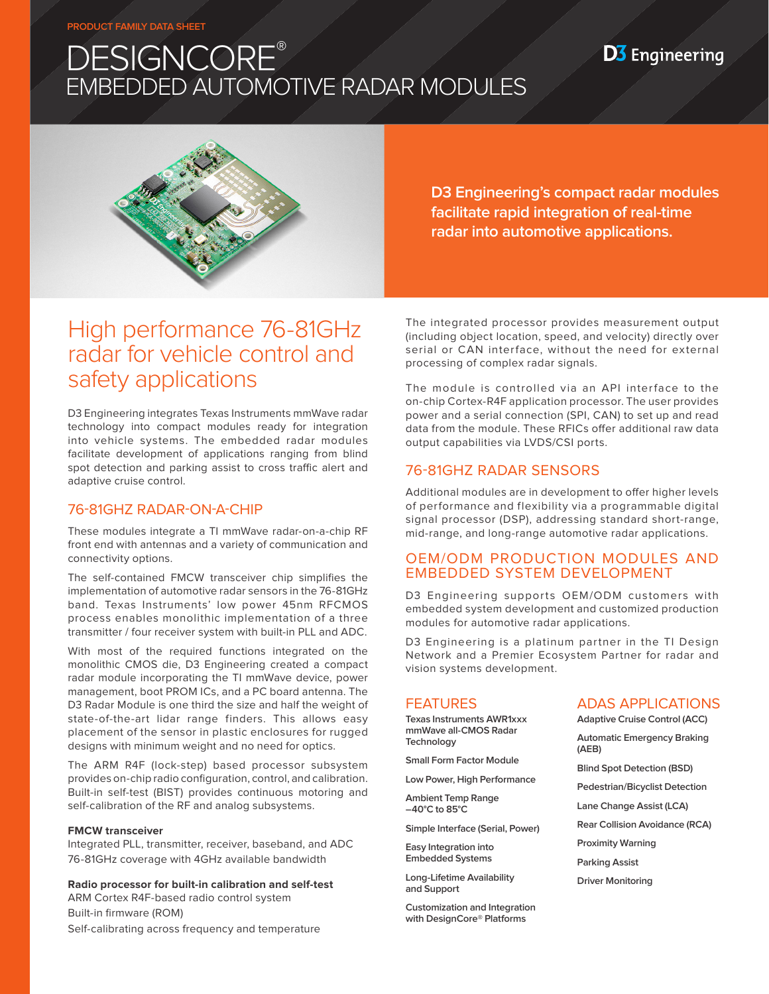**PRODUCT FAMILY DATA SHEET** 

# DESIGNCORE® EMBEDDED AUTOMOTIVE RADAR MODULES





**D3 Engineering's compact radar modules facilitate rapid integration of real-time radar into automotive applications.**

## High performance 76-81GHz radar for vehicle control and safety applications

D3 Engineering integrates Texas Instruments mmWave radar technology into compact modules ready for integration into vehicle systems. The embedded radar modules facilitate development of applications ranging from blind spot detection and parking assist to cross traffic alert and adaptive cruise control.

#### 76-81GHZ RADAR-ON-A-CHIP

These modules integrate a TI mmWave radar-on-a-chip RF front end with antennas and a variety of communication and connectivity options.

The self-contained FMCW transceiver chip simplifies the implementation of automotive radar sensors in the 76-81GHz band. Texas Instruments' low power 45nm RFCMOS process enables monolithic implementation of a three transmitter / four receiver system with built-in PLL and ADC.

With most of the required functions integrated on the monolithic CMOS die, D3 Engineering created a compact radar module incorporating the TI mmWave device, power management, boot PROM ICs, and a PC board antenna. The D3 Radar Module is one third the size and half the weight of state-of-the-art lidar range finders. This allows easy placement of the sensor in plastic enclosures for rugged designs with minimum weight and no need for optics.

The ARM R4F (lock-step) based processor subsystem provides on-chip radio configuration, control, and calibration. Built-in self-test (BIST) provides continuous motoring and self-calibration of the RF and analog subsystems.

#### **FMCW transceiver**

Integrated PLL, transmitter, receiver, baseband, and ADC 76-81GHz coverage with 4GHz available bandwidth

**Radio processor for built-in calibration and self-test** ARM Cortex R4F-based radio control system Built-in firmware (ROM) Self-calibrating across frequency and temperature

The integrated processor provides measurement output (including object location, speed, and velocity) directly over serial or CAN interface, without the need for external processing of complex radar signals.

The module is controlled via an API interface to the on-chip Cortex-R4F application processor. The user provides power and a serial connection (SPI, CAN) to set up and read data from the module. These RFICs offer additional raw data output capabilities via LVDS/CSI ports.

### 76-81GHZ RADAR SENSORS

Additional modules are in development to offer higher levels of performance and flexibility via a programmable digital signal processor (DSP), addressing standard short-range, mid-range, and long-range automotive radar applications.

#### OEM/ODM PRODUCTION MODULES AND EMBEDDED SYSTEM DEVELOPMENT

D3 Engineering supports OEM/ODM customers with embedded system development and customized production modules for automotive radar applications.

D3 Engineering is a platinum partner in the TI Design Network and a Premier Ecosystem Partner for radar and vision systems development.

## FEATURES

**Texas Instruments AWR1xxx mmWave all-CMOS Radar Technology**

**Small Form Factor Module**

**Low Power, High Performance**

**Ambient Temp Range –40°C to 85°C**

**Simple Interface (Serial, Power)**

**Easy Integration into** 

**Embedded Systems**

**Long-Lifetime Availability and Support**

**Customization and Integration with DesignCore® Platforms**

## ADAS APPLICATIONS

**Adaptive Cruise Control (ACC)** 

- **Automatic Emergency Braking (AEB)**
- **Blind Spot Detection (BSD)**
- **Pedestrian/Bicyclist Detection**
- **Lane Change Assist (LCA)**
- **Rear Collision Avoidance (RCA)**
- **Proximity Warning**
- **Parking Assist**
- **Driver Monitoring**